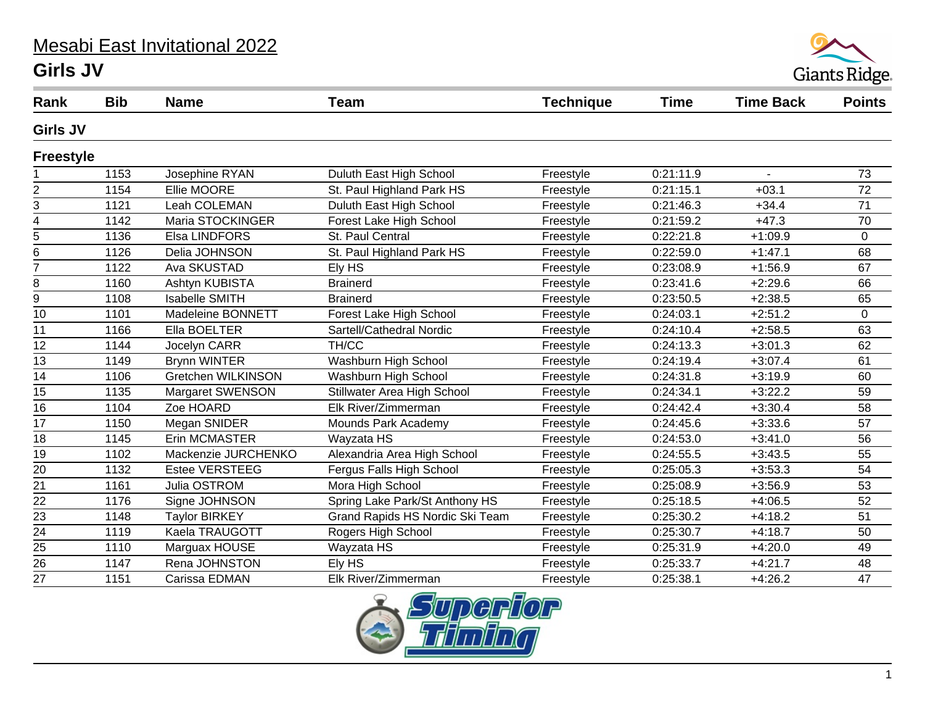## Mesabi East Invitational 2022 **Girls JV**



| Rank             | <b>Bib</b> | <b>Name</b>           | <b>Team</b>                     | <b>Technique</b> | Time      | <b>Time Back</b> | <b>Points</b> |
|------------------|------------|-----------------------|---------------------------------|------------------|-----------|------------------|---------------|
| <b>Girls JV</b>  |            |                       |                                 |                  |           |                  |               |
| <b>Freestyle</b> |            |                       |                                 |                  |           |                  |               |
|                  | 1153       | Josephine RYAN        | Duluth East High School         | Freestyle        | 0:21:11.9 | $\overline{a}$   | 73            |
| 2                | 1154       | Ellie MOORE           | St. Paul Highland Park HS       | Freestyle        | 0:21:15.1 | $+03.1$          | 72            |
| 3                | 1121       | Leah COLEMAN          | Duluth East High School         | Freestyle        | 0:21:46.3 | $+34.4$          | 71            |
| 4                | 1142       | Maria STOCKINGER      | Forest Lake High School         | Freestyle        | 0:21:59.2 | $+47.3$          | 70            |
| 5                | 1136       | Elsa LINDFORS         | St. Paul Central                | Freestyle        | 0:22:21.8 | $+1:09.9$        | 0             |
| 6                | 1126       | Delia JOHNSON         | St. Paul Highland Park HS       | Freestyle        | 0:22:59.0 | $+1:47.1$        | 68            |
| $\overline{7}$   | 1122       | Ava SKUSTAD           | Ely HS                          | Freestyle        | 0:23:08.9 | $+1:56.9$        | 67            |
| 8                | 1160       | Ashtyn KUBISTA        | <b>Brainerd</b>                 | Freestyle        | 0:23:41.6 | $+2:29.6$        | 66            |
| 9                | 1108       | <b>Isabelle SMITH</b> | <b>Brainerd</b>                 | Freestyle        | 0:23:50.5 | $+2:38.5$        | 65            |
| 10               | 1101       | Madeleine BONNETT     | Forest Lake High School         | Freestyle        | 0:24:03.1 | $+2:51.2$        | $\mathbf 0$   |
| 11               | 1166       | Ella BOELTER          | Sartell/Cathedral Nordic        | Freestyle        | 0:24:10.4 | $+2:58.5$        | 63            |
| 12               | 1144       | Jocelyn CARR          | TH/CC                           | Freestyle        | 0:24:13.3 | $+3:01.3$        | 62            |
| 13               | 1149       | <b>Brynn WINTER</b>   | Washburn High School            | Freestyle        | 0:24:19.4 | $+3:07.4$        | 61            |
| 14               | 1106       | Gretchen WILKINSON    | Washburn High School            | Freestyle        | 0:24:31.8 | $+3:19.9$        | 60            |
| 15               | 1135       | Margaret SWENSON      | Stillwater Area High School     | Freestyle        | 0:24:34.1 | $+3:22.2$        | 59            |
| $\overline{16}$  | 1104       | Zoe HOARD             | Elk River/Zimmerman             | Freestyle        | 0:24:42.4 | $+3:30.4$        | 58            |
| 17               | 1150       | Megan SNIDER          | Mounds Park Academy             | Freestyle        | 0:24:45.6 | $+3:33.6$        | 57            |
| 18               | 1145       | Erin MCMASTER         | Wayzata HS                      | Freestyle        | 0:24:53.0 | $+3:41.0$        | 56            |
| 19               | 1102       | Mackenzie JURCHENKO   | Alexandria Area High School     | Freestyle        | 0:24:55.5 | $+3:43.5$        | 55            |
| 20               | 1132       | <b>Estee VERSTEEG</b> | Fergus Falls High School        | Freestyle        | 0:25:05.3 | $+3:53.3$        | 54            |
| $\overline{21}$  | 1161       | Julia OSTROM          | Mora High School                | Freestyle        | 0:25:08.9 | $+3:56.9$        | 53            |
| 22               | 1176       | Signe JOHNSON         | Spring Lake Park/St Anthony HS  | Freestyle        | 0:25:18.5 | $+4:06.5$        | 52            |
| $\frac{23}{24}$  | 1148       | <b>Taylor BIRKEY</b>  | Grand Rapids HS Nordic Ski Team | Freestyle        | 0:25:30.2 | $+4:18.2$        | 51            |
|                  | 1119       | Kaela TRAUGOTT        | Rogers High School              | Freestyle        | 0:25:30.7 | $+4:18.7$        | 50            |
| 25               | 1110       | Marguax HOUSE         | Wayzata HS                      | Freestyle        | 0:25:31.9 | $+4:20.0$        | 49            |
| 26               | 1147       | Rena JOHNSTON         | Ely HS                          | Freestyle        | 0:25:33.7 | $+4:21.7$        | 48            |
| 27               | 1151       | Carissa EDMAN         | Elk River/Zimmerman             | Freestyle        | 0:25:38.1 | $+4:26.2$        | 47            |

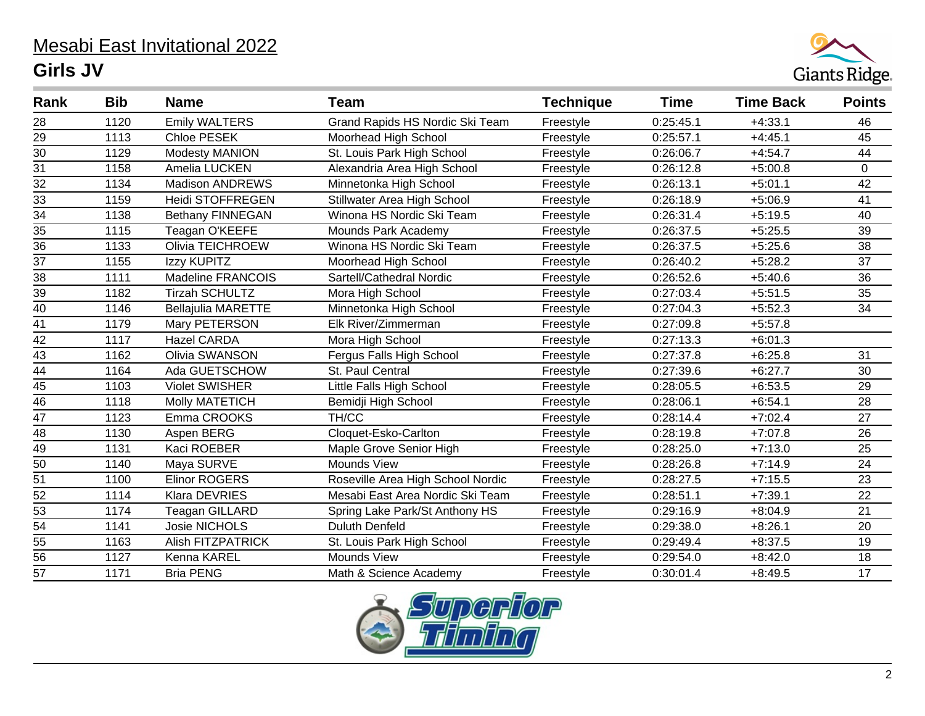## Mesabi East Invitational 2022 **Girls JV**



| Rank            | <b>Bib</b> | <b>Name</b>               | <b>Team</b>                       | <b>Technique</b> | Time      | <b>Time Back</b> | <b>Points</b>   |
|-----------------|------------|---------------------------|-----------------------------------|------------------|-----------|------------------|-----------------|
| 28              | 1120       | <b>Emily WALTERS</b>      | Grand Rapids HS Nordic Ski Team   | Freestyle        | 0:25:45.1 | $+4:33.1$        | 46              |
| 29              | 1113       | Chloe PESEK               | Moorhead High School              | Freestyle        | 0:25:57.1 | $+4:45.1$        | 45              |
| $\overline{30}$ | 1129       | Modesty MANION            | St. Louis Park High School        | Freestyle        | 0:26:06.7 | $+4:54.7$        | 44              |
| $\overline{31}$ | 1158       | Amelia LUCKEN             | Alexandria Area High School       | Freestyle        | 0:26:12.8 | $+5:00.8$        | $\pmb{0}$       |
| $\overline{32}$ | 1134       | <b>Madison ANDREWS</b>    | Minnetonka High School            | Freestyle        | 0:26:13.1 | $+5:01.1$        | 42              |
| $\overline{33}$ | 1159       | <b>Heidi STOFFREGEN</b>   | Stillwater Area High School       | Freestyle        | 0:26:18.9 | $+5:06.9$        | 41              |
| $\overline{34}$ | 1138       | Bethany FINNEGAN          | Winona HS Nordic Ski Team         | Freestyle        | 0:26:31.4 | $+5:19.5$        | 40              |
| 35              | 1115       | Teagan O'KEEFE            | Mounds Park Academy               | Freestyle        | 0:26:37.5 | $+5:25.5$        | 39              |
| $\overline{36}$ | 1133       | Olivia TEICHROEW          | Winona HS Nordic Ski Team         | Freestyle        | 0:26:37.5 | $+5:25.6$        | 38              |
| $\overline{37}$ | 1155       | Izzy KUPITZ               | Moorhead High School              | Freestyle        | 0:26:40.2 | $+5:28.2$        | 37              |
| 38              | 1111       | Madeline FRANCOIS         | Sartell/Cathedral Nordic          | Freestyle        | 0:26:52.6 | $+5:40.6$        | 36              |
| 39              | 1182       | <b>Tirzah SCHULTZ</b>     | Mora High School                  | Freestyle        | 0:27:03.4 | $+5:51.5$        | 35              |
| 40              | 1146       | <b>Bellajulia MARETTE</b> | Minnetonka High School            | Freestyle        | 0:27:04.3 | $+5:52.3$        | 34              |
| 41              | 1179       | Mary PETERSON             | Elk River/Zimmerman               | Freestyle        | 0:27:09.8 | $+5:57.8$        |                 |
| $\overline{42}$ | 1117       | <b>Hazel CARDA</b>        | Mora High School                  | Freestyle        | 0:27:13.3 | $+6:01.3$        |                 |
| 43              | 1162       | Olivia SWANSON            | Fergus Falls High School          | Freestyle        | 0:27:37.8 | $+6:25.8$        | 31              |
| $\overline{44}$ | 1164       | Ada GUETSCHOW             | St. Paul Central                  | Freestyle        | 0:27:39.6 | $+6:27.7$        | 30              |
| 45              | 1103       | <b>Violet SWISHER</b>     | Little Falls High School          | Freestyle        | 0:28:05.5 | $+6:53.5$        | 29              |
| $\frac{1}{46}$  | 1118       | <b>Molly MATETICH</b>     | Bemidji High School               | Freestyle        | 0:28:06.1 | $+6:54.1$        | 28              |
| 47              | 1123       | Emma CROOKS               | TH/CC                             | Freestyle        | 0:28:14.4 | $+7:02.4$        | 27              |
| $\overline{48}$ | 1130       | Aspen BERG                | Cloquet-Esko-Carlton              | Freestyle        | 0:28:19.8 | $+7:07.8$        | 26              |
| $\overline{49}$ | 1131       | Kaci ROEBER               | Maple Grove Senior High           | Freestyle        | 0:28:25.0 | $+7:13.0$        | 25              |
| $\overline{50}$ | 1140       | Maya SURVE                | Mounds View                       | Freestyle        | 0:28:26.8 | $+7:14.9$        | 24              |
| 51              | 1100       | <b>Elinor ROGERS</b>      | Roseville Area High School Nordic | Freestyle        | 0:28:27.5 | $+7:15.5$        | 23              |
| $\overline{52}$ | 1114       | Klara DEVRIES             | Mesabi East Area Nordic Ski Team  | Freestyle        | 0:28:51.1 | $+7:39.1$        | 22              |
| 53              | 1174       | Teagan GILLARD            | Spring Lake Park/St Anthony HS    | Freestyle        | 0:29:16.9 | $+8:04.9$        | 21              |
| $\overline{54}$ | 1141       | Josie NICHOLS             | <b>Duluth Denfeld</b>             | Freestyle        | 0:29:38.0 | $+8:26.1$        | $\overline{20}$ |
| 55              | 1163       | <b>Alish FITZPATRICK</b>  | St. Louis Park High School        | Freestyle        | 0:29:49.4 | $+8:37.5$        | 19              |
| $\overline{56}$ | 1127       | Kenna KAREL               | Mounds View                       | Freestyle        | 0:29:54.0 | $+8:42.0$        | 18              |
| 57              | 1171       | <b>Bria PENG</b>          | Math & Science Academy            | Freestyle        | 0:30:01.4 | $+8:49.5$        | 17              |